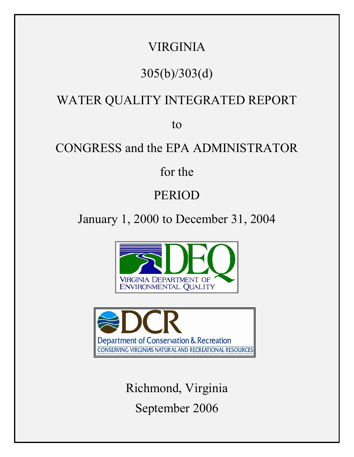## VIRGINIA

# 305(b)/303(d)

## WATER QUALITY INTEGRATED REPORT

to

## CONGRESS and the EPA ADMINISTRATOR

for the

## PERIOD

January 1, 2000 to December 31, 2004





Richmond, Virginia September 2006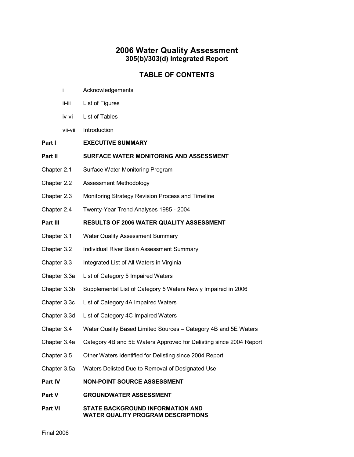#### **2006 Water Quality Assessment 305(b)/303(d) Integrated Report**

#### **TABLE OF CONTENTS**

- i Acknowledgements
- ii-iii List of Figures
- iv-vi List of Tables
- vii-viii Introduction
- **Part I EXECUTIVE SUMMARY**

#### **Part II SURFACE WATER MONITORING AND ASSESSMENT**

- Chapter 2.1 Surface Water Monitoring Program
- Chapter 2.2 Assessment Methodology
- Chapter 2.3 Monitoring Strategy Revision Process and Timeline
- Chapter 2.4 Twenty-Year Trend Analyses 1985 2004

#### **Part III RESULTS OF 2006 WATER QUALITY ASSESSMENT**

- Chapter 3.1 Water Quality Assessment Summary
- Chapter 3.2 Individual River Basin Assessment Summary
- Chapter 3.3 Integrated List of All Waters in Virginia
- Chapter 3.3a List of Category 5 Impaired Waters
- Chapter 3.3b Supplemental List of Category 5 Waters Newly Impaired in 2006
- Chapter 3.3c List of Category 4A Impaired Waters
- Chapter 3.3d List of Category 4C Impaired Waters
- Chapter 3.4 Water Quality Based Limited Sources Category 4B and 5E Waters
- Chapter 3.4a Category 4B and 5E Waters Approved for Delisting since 2004 Report
- Chapter 3.5 Other Waters Identified for Delisting since 2004 Report
- Chapter 3.5a Waters Delisted Due to Removal of Designated Use
- **Part IV NONPOINT SOURCE ASSESSMENT**
- **Part V GROUNDWATER ASSESSMENT**
- **Part VI STATE BACKGROUND INFORMATION AND WATER QUALITY PROGRAM DESCRIPTIONS**